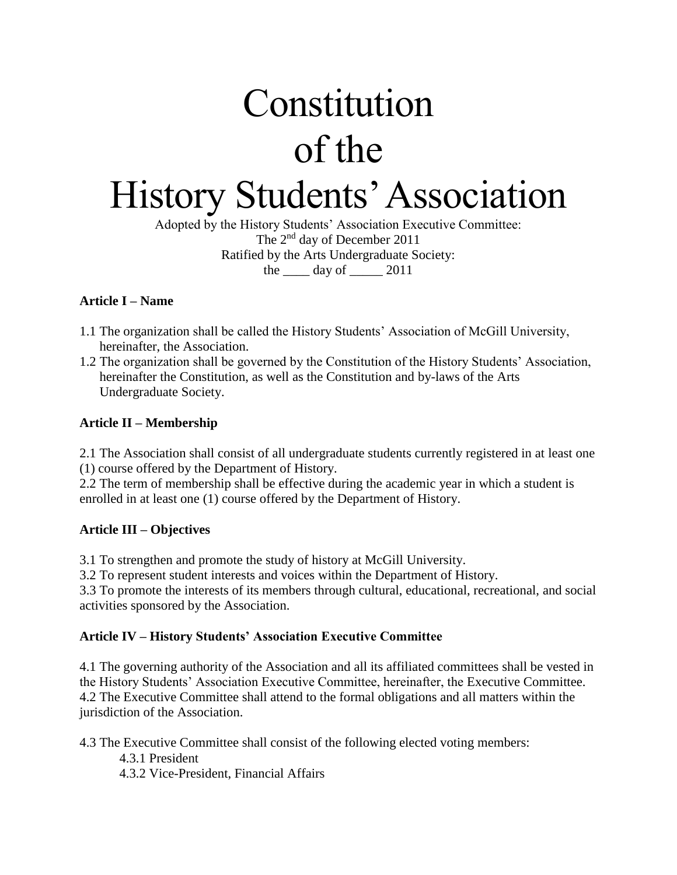# Constitution of the History Students' Association

Adopted by the History Students' Association Executive Committee: The 2nd day of December 2011 Ratified by the Arts Undergraduate Society: the  $\_\_\_\$  day of  $\_\_\_\_$  2011

# **Article I – Name**

- 1.1 The organization shall be called the History Students' Association of McGill University, hereinafter, the Association.
- 1.2 The organization shall be governed by the Constitution of the History Students' Association, hereinafter the Constitution, as well as the Constitution and by-laws of the Arts Undergraduate Society.

# **Article II – Membership**

2.1 The Association shall consist of all undergraduate students currently registered in at least one (1) course offered by the Department of History.

2.2 The term of membership shall be effective during the academic year in which a student is enrolled in at least one (1) course offered by the Department of History.

# **Article III – Objectives**

3.1 To strengthen and promote the study of history at McGill University.

3.2 To represent student interests and voices within the Department of History.

3.3 To promote the interests of its members through cultural, educational, recreational, and social activities sponsored by the Association.

# **Article IV – History Students' Association Executive Committee**

4.1 The governing authority of the Association and all its affiliated committees shall be vested in the History Students' Association Executive Committee, hereinafter, the Executive Committee. 4.2 The Executive Committee shall attend to the formal obligations and all matters within the jurisdiction of the Association.

4.3 The Executive Committee shall consist of the following elected voting members:

4.3.1 President

4.3.2 Vice-President, Financial Affairs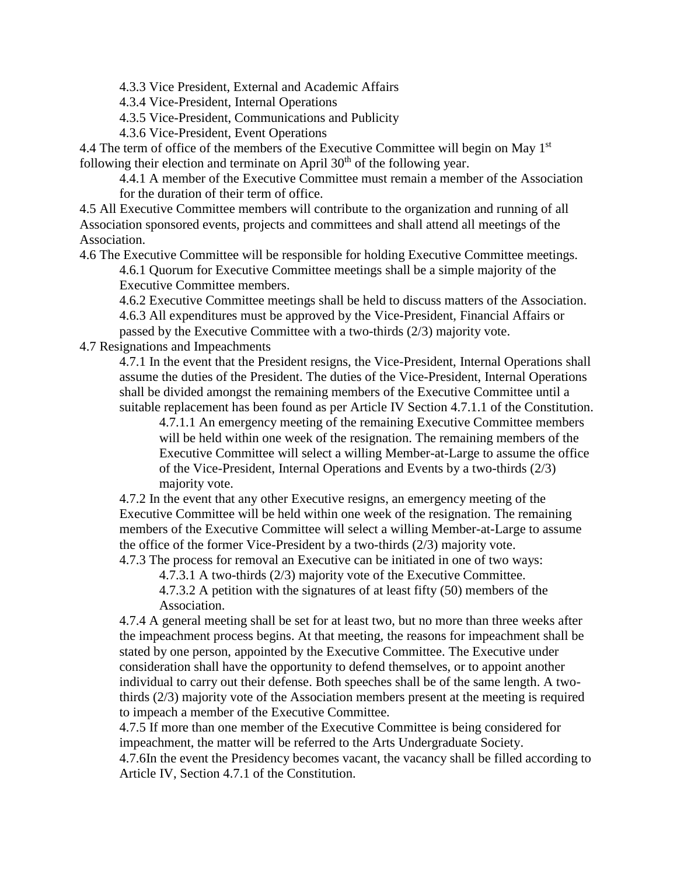4.3.3 Vice President, External and Academic Affairs

4.3.4 Vice-President, Internal Operations

4.3.5 Vice-President, Communications and Publicity

4.3.6 Vice-President, Event Operations

4.4 The term of office of the members of the Executive Committee will begin on May 1<sup>st</sup> following their election and terminate on April  $30<sup>th</sup>$  of the following year.

4.4.1 A member of the Executive Committee must remain a member of the Association for the duration of their term of office.

4.5 All Executive Committee members will contribute to the organization and running of all Association sponsored events, projects and committees and shall attend all meetings of the Association.

4.6 The Executive Committee will be responsible for holding Executive Committee meetings. 4.6.1 Quorum for Executive Committee meetings shall be a simple majority of the Executive Committee members.

4.6.2 Executive Committee meetings shall be held to discuss matters of the Association.

4.6.3 All expenditures must be approved by the Vice-President, Financial Affairs or passed by the Executive Committee with a two-thirds (2/3) majority vote.

4.7 Resignations and Impeachments

4.7.1 In the event that the President resigns, the Vice-President, Internal Operations shall assume the duties of the President. The duties of the Vice-President, Internal Operations shall be divided amongst the remaining members of the Executive Committee until a suitable replacement has been found as per Article IV Section 4.7.1.1 of the Constitution.

4.7.1.1 An emergency meeting of the remaining Executive Committee members will be held within one week of the resignation. The remaining members of the Executive Committee will select a willing Member-at-Large to assume the office of the Vice-President, Internal Operations and Events by a two-thirds (2/3) majority vote.

4.7.2 In the event that any other Executive resigns, an emergency meeting of the Executive Committee will be held within one week of the resignation. The remaining members of the Executive Committee will select a willing Member-at-Large to assume the office of the former Vice-President by a two-thirds (2/3) majority vote.

4.7.3 The process for removal an Executive can be initiated in one of two ways:

4.7.3.1 A two-thirds (2/3) majority vote of the Executive Committee.

4.7.3.2 A petition with the signatures of at least fifty (50) members of the Association.

4.7.4 A general meeting shall be set for at least two, but no more than three weeks after the impeachment process begins. At that meeting, the reasons for impeachment shall be stated by one person, appointed by the Executive Committee. The Executive under consideration shall have the opportunity to defend themselves, or to appoint another individual to carry out their defense. Both speeches shall be of the same length. A twothirds (2/3) majority vote of the Association members present at the meeting is required to impeach a member of the Executive Committee.

4.7.5 If more than one member of the Executive Committee is being considered for impeachment, the matter will be referred to the Arts Undergraduate Society.

4.7.6In the event the Presidency becomes vacant, the vacancy shall be filled according to Article IV, Section 4.7.1 of the Constitution.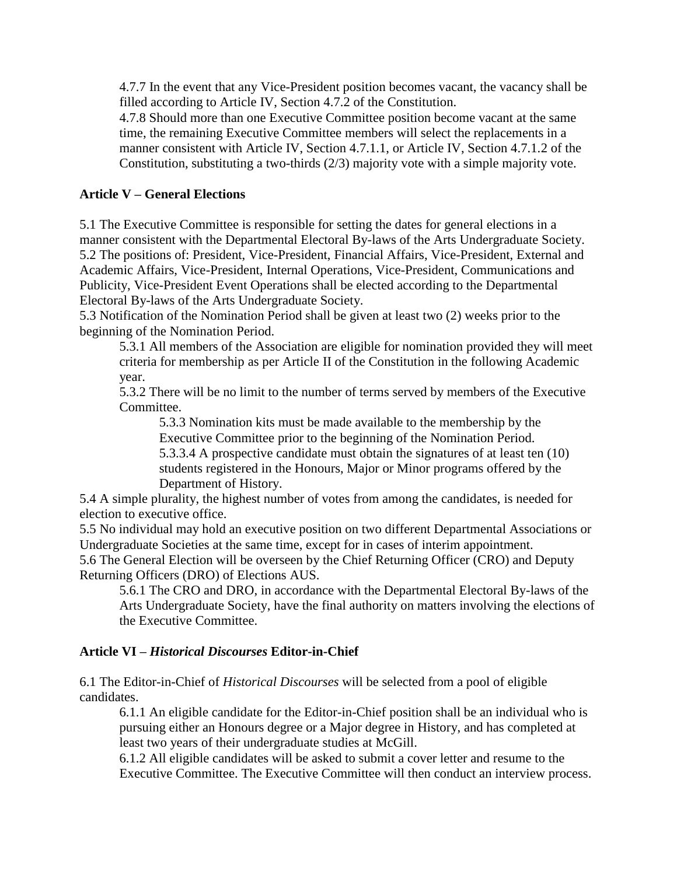4.7.7 In the event that any Vice-President position becomes vacant, the vacancy shall be filled according to Article IV, Section 4.7.2 of the Constitution.

4.7.8 Should more than one Executive Committee position become vacant at the same time, the remaining Executive Committee members will select the replacements in a manner consistent with Article IV, Section 4.7.1.1, or Article IV, Section 4.7.1.2 of the Constitution, substituting a two-thirds (2/3) majority vote with a simple majority vote.

# **Article V – General Elections**

5.1 The Executive Committee is responsible for setting the dates for general elections in a manner consistent with the Departmental Electoral By-laws of the Arts Undergraduate Society. 5.2 The positions of: President, Vice-President, Financial Affairs, Vice-President, External and Academic Affairs, Vice-President, Internal Operations, Vice-President, Communications and Publicity, Vice-President Event Operations shall be elected according to the Departmental Electoral By-laws of the Arts Undergraduate Society.

5.3 Notification of the Nomination Period shall be given at least two (2) weeks prior to the beginning of the Nomination Period.

5.3.1 All members of the Association are eligible for nomination provided they will meet criteria for membership as per Article II of the Constitution in the following Academic year.

5.3.2 There will be no limit to the number of terms served by members of the Executive Committee.

5.3.3 Nomination kits must be made available to the membership by the Executive Committee prior to the beginning of the Nomination Period. 5.3.3.4 A prospective candidate must obtain the signatures of at least ten (10) students registered in the Honours, Major or Minor programs offered by the Department of History.

5.4 A simple plurality, the highest number of votes from among the candidates, is needed for election to executive office.

5.5 No individual may hold an executive position on two different Departmental Associations or Undergraduate Societies at the same time, except for in cases of interim appointment.

5.6 The General Election will be overseen by the Chief Returning Officer (CRO) and Deputy Returning Officers (DRO) of Elections AUS.

5.6.1 The CRO and DRO, in accordance with the Departmental Electoral By-laws of the Arts Undergraduate Society, have the final authority on matters involving the elections of the Executive Committee.

## **Article VI –** *Historical Discourses* **Editor-in-Chief**

6.1 The Editor-in-Chief of *Historical Discourses* will be selected from a pool of eligible candidates.

6.1.1 An eligible candidate for the Editor-in-Chief position shall be an individual who is pursuing either an Honours degree or a Major degree in History, and has completed at least two years of their undergraduate studies at McGill.

6.1.2 All eligible candidates will be asked to submit a cover letter and resume to the Executive Committee. The Executive Committee will then conduct an interview process.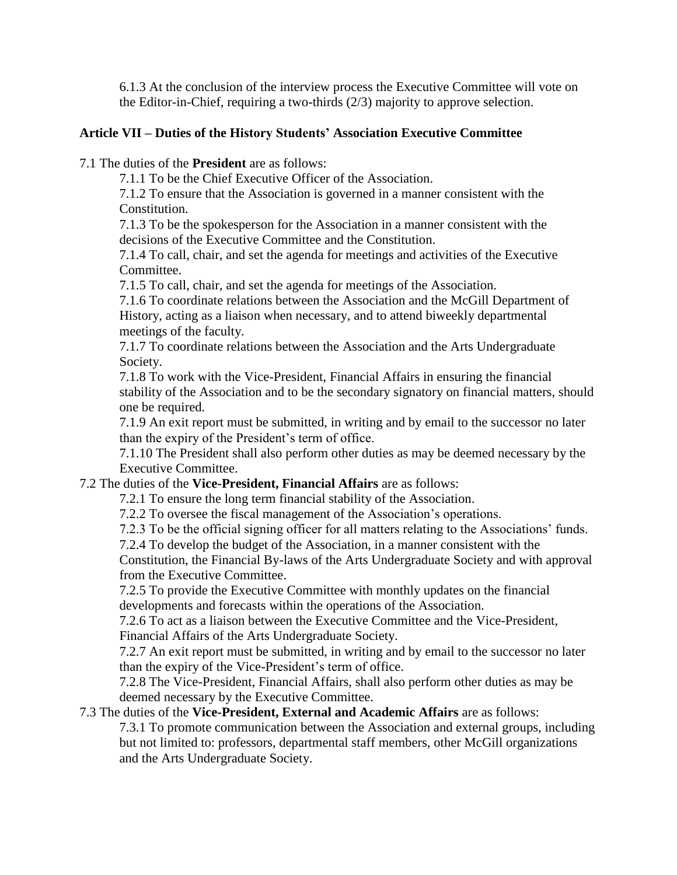6.1.3 At the conclusion of the interview process the Executive Committee will vote on the Editor-in-Chief, requiring a two-thirds (2/3) majority to approve selection.

## **Article VII – Duties of the History Students' Association Executive Committee**

7.1 The duties of the **President** are as follows:

7.1.1 To be the Chief Executive Officer of the Association.

7.1.2 To ensure that the Association is governed in a manner consistent with the Constitution.

7.1.3 To be the spokesperson for the Association in a manner consistent with the decisions of the Executive Committee and the Constitution.

7.1.4 To call, chair, and set the agenda for meetings and activities of the Executive Committee.

7.1.5 To call, chair, and set the agenda for meetings of the Association.

7.1.6 To coordinate relations between the Association and the McGill Department of History, acting as a liaison when necessary, and to attend biweekly departmental meetings of the faculty.

7.1.7 To coordinate relations between the Association and the Arts Undergraduate Society.

7.1.8 To work with the Vice-President, Financial Affairs in ensuring the financial stability of the Association and to be the secondary signatory on financial matters, should one be required.

7.1.9 An exit report must be submitted, in writing and by email to the successor no later than the expiry of the President's term of office.

7.1.10 The President shall also perform other duties as may be deemed necessary by the Executive Committee.

#### 7.2 The duties of the **Vice-President, Financial Affairs** are as follows:

7.2.1 To ensure the long term financial stability of the Association.

7.2.2 To oversee the fiscal management of the Association's operations.

7.2.3 To be the official signing officer for all matters relating to the Associations' funds. 7.2.4 To develop the budget of the Association, in a manner consistent with the

Constitution, the Financial By-laws of the Arts Undergraduate Society and with approval from the Executive Committee.

7.2.5 To provide the Executive Committee with monthly updates on the financial developments and forecasts within the operations of the Association.

7.2.6 To act as a liaison between the Executive Committee and the Vice-President, Financial Affairs of the Arts Undergraduate Society.

7.2.7 An exit report must be submitted, in writing and by email to the successor no later than the expiry of the Vice-President's term of office.

7.2.8 The Vice-President, Financial Affairs, shall also perform other duties as may be deemed necessary by the Executive Committee.

## 7.3 The duties of the **Vice-President, External and Academic Affairs** are as follows:

7.3.1 To promote communication between the Association and external groups, including but not limited to: professors, departmental staff members, other McGill organizations and the Arts Undergraduate Society.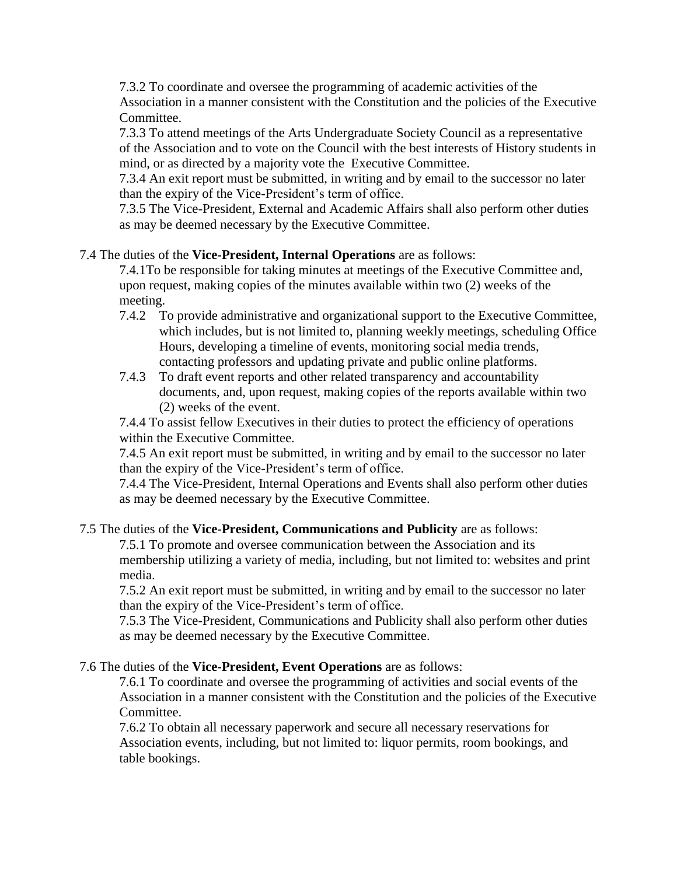7.3.2 To coordinate and oversee the programming of academic activities of the Association in a manner consistent with the Constitution and the policies of the Executive Committee.

7.3.3 To attend meetings of the Arts Undergraduate Society Council as a representative of the Association and to vote on the Council with the best interests of History students in mind, or as directed by a majority vote the Executive Committee.

7.3.4 An exit report must be submitted, in writing and by email to the successor no later than the expiry of the Vice-President's term of office.

7.3.5 The Vice-President, External and Academic Affairs shall also perform other duties as may be deemed necessary by the Executive Committee.

## 7.4 The duties of the **Vice-President, Internal Operations** are as follows:

7.4.1To be responsible for taking minutes at meetings of the Executive Committee and, upon request, making copies of the minutes available within two (2) weeks of the meeting.

- 7.4.2 To provide administrative and organizational support to the Executive Committee, which includes, but is not limited to, planning weekly meetings, scheduling Office Hours, developing a timeline of events, monitoring social media trends, contacting professors and updating private and public online platforms.
- 7.4.3 To draft event reports and other related transparency and accountability documents, and, upon request, making copies of the reports available within two (2) weeks of the event.

7.4.4 To assist fellow Executives in their duties to protect the efficiency of operations within the Executive Committee.

7.4.5 An exit report must be submitted, in writing and by email to the successor no later than the expiry of the Vice-President's term of office.

7.4.4 The Vice-President, Internal Operations and Events shall also perform other duties as may be deemed necessary by the Executive Committee.

## 7.5 The duties of the **Vice-President, Communications and Publicity** are as follows:

7.5.1 To promote and oversee communication between the Association and its membership utilizing a variety of media, including, but not limited to: websites and print media.

7.5.2 An exit report must be submitted, in writing and by email to the successor no later than the expiry of the Vice-President's term of office.

7.5.3 The Vice-President, Communications and Publicity shall also perform other duties as may be deemed necessary by the Executive Committee.

## 7.6 The duties of the **Vice-President, Event Operations** are as follows:

7.6.1 To coordinate and oversee the programming of activities and social events of the Association in a manner consistent with the Constitution and the policies of the Executive Committee.

7.6.2 To obtain all necessary paperwork and secure all necessary reservations for Association events, including, but not limited to: liquor permits, room bookings, and table bookings.